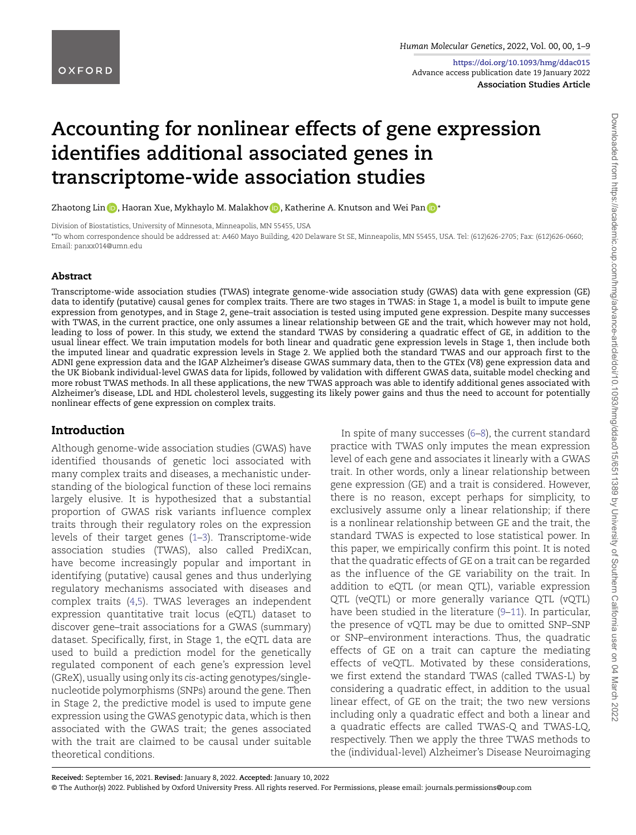**https://doi.org/10.1093/hmg/ddac015** Advance access publication date 19 January 2022 **Association Studies Article**

# **Accounting for nonlinear effects of gene expression identifies additional associated genes in transcriptome-wide association studies**

Zhaotong Lin  $\textbf{D}$ [,](https://orcid.org/0000-0002-6856-3913) Haoran Xue, Mykhaylo M. Malakhov  $\textbf{D}$ , Katherine A. Knutson and Wei Pan  $\textbf{D}^*$  $\textbf{D}^*$ 

Division of Biostatistics, University of Minnesota, Minneapolis, MN 55455, USA

\*To whom correspondence should be addressed at: A460 Mayo Building, 420 Delaware St SE, Minneapolis, MN 55455, USA. Tel: (612)626-2705; Fax: (612)626-0660; Email: panxx014@umn.edu

#### **Abstract**

Transcriptome-wide association studies (TWAS) integrate genome-wide association study (GWAS) data with gene expression (GE) data to identify (putative) causal genes for complex traits. There are two stages in TWAS: in Stage 1, a model is built to impute gene expression from genotypes, and in Stage 2, gene–trait association is tested using imputed gene expression. Despite many successes with TWAS, in the current practice, one only assumes a linear relationship between GE and the trait, which however may not hold, leading to loss of power. In this study, we extend the standard TWAS by considering a quadratic effect of GE, in addition to the usual linear effect. We train imputation models for both linear and quadratic gene expression levels in Stage 1, then include both the imputed linear and quadratic expression levels in Stage 2. We applied both the standard TWAS and our approach first to the ADNI gene expression data and the IGAP Alzheimer's disease GWAS summary data, then to the GTEx (V8) gene expression data and the UK Biobank individual-level GWAS data for lipids, followed by validation with different GWAS data, suitable model checking and more robust TWAS methods. In all these applications, the new TWAS approach was able to identify additional genes associated with Alzheimer's disease, LDL and HDL cholesterol levels, suggesting its likely power gains and thus the need to account for potentially nonlinear effects of gene expression on complex traits.

## **Introduction**

<span id="page-0-3"></span><span id="page-0-2"></span><span id="page-0-0"></span>Although genome-wide association studies (GWAS) have identified thousands of genetic loci associated with many complex traits and diseases, a mechanistic understanding of the biological function of these loci remains largely elusive. It is hypothesized that a substantial proportion of GWAS risk variants influence complex traits through their regulatory roles on the expression levels of their target genes ([1](#page-6-0)[–3](#page-6-1)). Transcriptome-wide association studies (TWAS), also called PrediXcan, have become increasingly popular and important in identifying (putative) causal genes and thus underlying regulatory mechanisms associated with diseases and complex traits [\(4](#page-6-2),[5\)](#page-7-0). TWAS leverages an independent expression quantitative trait locus (eQTL) dataset to discover gene–trait associations for a GWAS (summary) dataset. Specifically, first, in Stage 1, the eQTL data are used to build a prediction model for the genetically regulated component of each gene's expression level (GReX), usually using only its *cis*-acting genotypes/singlenucleotide polymorphisms (SNPs) around the gene. Then in Stage 2, the predictive model is used to impute gene expression using the GWAS genotypic data, which is then associated with the GWAS trait; the genes associated with the trait are claimed to be causal under suitable theoretical conditions.

<span id="page-0-7"></span><span id="page-0-6"></span><span id="page-0-5"></span><span id="page-0-4"></span><span id="page-0-1"></span>In spite of many successes [\(6](#page-7-1)–[8\)](#page-7-2), the current standard practice with TWAS only imputes the mean expression level of each gene and associates it linearly with a GWAS trait. In other words, only a linear relationship between gene expression (GE) and a trait is considered. However, there is no reason, except perhaps for simplicity, to exclusively assume only a linear relationship; if there is a nonlinear relationship between GE and the trait, the standard TWAS is expected to lose statistical power. In this paper, we empirically confirm this point. It is noted that the quadratic effects of GE on a trait can be regarded as the influence of the GE variability on the trait. In addition to eQTL (or mean QTL), variable expression QTL (veQTL) or more generally variance QTL (vQTL) have been studied in the literature ([9–](#page-7-3)[11](#page-7-4)). In particular, the presence of vQTL may be due to omitted SNP–SNP or SNP–environment interactions. Thus, the quadratic effects of GE on a trait can capture the mediating effects of veQTL. Motivated by these considerations, we first extend the standard TWAS (called TWAS-L) by considering a quadratic effect, in addition to the usual linear effect, of GE on the trait; the two new versions including only a quadratic effect and both a linear and a quadratic effects are called TWAS-Q and TWAS-LQ, respectively. Then we apply the three TWAS methods to the (individual-level) Alzheimer's Disease Neuroimaging

Downloaded from https://academic.oup.com/hmg/advance-article/doi/10.1093/hmg/ddac015/6511389 by University of Southern California user on 04 March 2022 Downloaded from https://academic.oup.com/hmg/advance-article/doi/10.1093/hmg/ddac015/6511389 by University of Southern California user on 04 March 2022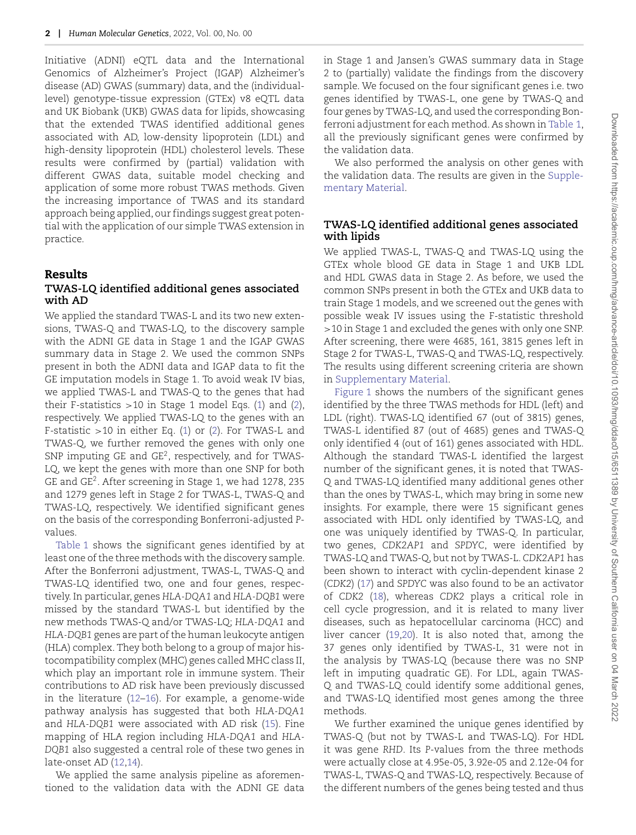Initiative (ADNI) eQTL data and the International Genomics of Alzheimer's Project (IGAP) Alzheimer's disease (AD) GWAS (summary) data, and the (individuallevel) genotype-tissue expression (GTEx) v8 eQTL data and UK Biobank (UKB) GWAS data for lipids, showcasing that the extended TWAS identified additional genes associated with AD, low-density lipoprotein (LDL) and high-density lipoprotein (HDL) cholesterol levels. These results were confirmed by (partial) validation with different GWAS data, suitable model checking and application of some more robust TWAS methods. Given the increasing importance of TWAS and its standard approach being applied, our findings suggest great potential with the application of our simple TWAS extension in practice.

#### **Results**

#### **TWAS-LQ identified additional genes associated with AD**

We applied the standard TWAS-L and its two new extensions, TWAS-Q and TWAS-LQ, to the discovery sample with the ADNI GE data in Stage 1 and the IGAP GWAS summary data in Stage 2. We used the common SNPs present in both the ADNI data and IGAP data to fit the GE imputation models in Stage 1. To avoid weak IV bias, we applied TWAS-L and TWAS-Q to the genes that had their F-statistics *>*10 in Stage 1 model Eqs. ([1\)](#page-5-0) and [\(2](#page-5-1)), respectively. We applied TWAS-LQ to the genes with an F-statistic *>*10 in either Eq. [\(1](#page-5-0)) or ([2\)](#page-5-1). For TWAS-L and TWAS-Q, we further removed the genes with only one SNP imputing GE and GE<sup>2</sup>, respectively, and for TWAS-LQ, we kept the genes with more than one SNP for both GE and GE2. After screening in Stage 1, we had 1278, 235 and 1279 genes left in Stage 2 for TWAS-L, TWAS-Q and TWAS-LQ, respectively. We identified significant genes on the basis of the corresponding Bonferroni-adjusted *P*values.

[Table 1](#page-2-0) shows the significant genes identified by at least one of the three methods with the discovery sample. After the Bonferroni adjustment, TWAS-L, TWAS-Q and TWAS-LQ identified two, one and four genes, respectively. In particular, genes *HLA-DQA1* and *HLA-DQB1* were missed by the standard TWAS-L but identified by the new methods TWAS-Q and/or TWAS-LQ; *HLA-DQA1* and *HLA-DQB1* genes are part of the human leukocyte antigen (HLA) complex. They both belong to a group of major histocompatibility complex (MHC) genes called MHC class II, which play an important role in immune system. Their contributions to AD risk have been previously discussed in the literature [\(12](#page-7-5)–[16](#page-7-6)). For example, a genome-wide pathway analysis has suggested that both *HLA-DQA1* and *HLA-DQB1* were associated with AD risk ([15\)](#page-7-7). Fine mapping of HLA region including *HLA-DQA1* and *HLA-DQB1* also suggested a central role of these two genes in late-onset AD ([12,](#page-7-5)[14\)](#page-7-8).

<span id="page-1-3"></span><span id="page-1-1"></span><span id="page-1-0"></span>We applied the same analysis pipeline as aforementioned to the validation data with the ADNI GE data

in Stage 1 and Jansen's GWAS summary data in Stage 2 to (partially) validate the findings from the discovery sample. We focused on the four significant genes i.e. two genes identified by TWAS-L, one gene by TWAS-Q and four genes by TWAS-LQ, and used the corresponding Bonferroni adjustment for each method. As shown in [Table 1](#page-2-0), all the previously significant genes were confirmed by the validation data.

We also performed the analysis on other genes with [the validation data. The results are given in the](https://academic.oup.com/hmg/article-lookup/doi/10.1093/hmg/ddac015#supplementary-data) Supplementary Material.

#### **TWAS-LQ identified additional genes associated with lipids**

We applied TWAS-L, TWAS-Q and TWAS-LQ using the GTEx whole blood GE data in Stage 1 and UKB LDL and HDL GWAS data in Stage 2. As before, we used the common SNPs present in both the GTEx and UKB data to train Stage 1 models, and we screened out the genes with possible weak IV issues using the F-statistic threshold *>*10 in Stage 1 and excluded the genes with only one SNP. After screening, there were 4685, 161, 3815 genes left in Stage 2 for TWAS-L, TWAS-Q and TWAS-LQ, respectively. The results using different screening criteria are shown in [Supplementary Material.](https://academic.oup.com/hmg/article-lookup/doi/10.1093/hmg/ddac015#supplementary-data)

[Figure 1](#page-2-1) shows the numbers of the significant genes identified by the three TWAS methods for HDL (left) and LDL (right). TWAS-LQ identified 67 (out of 3815) genes, TWAS-L identified 87 (out of 4685) genes and TWAS-Q only identified 4 (out of 161) genes associated with HDL. Although the standard TWAS-L identified the largest number of the significant genes, it is noted that TWAS-Q and TWAS-LQ identified many additional genes other than the ones by TWAS-L, which may bring in some new insights. For example, there were 15 significant genes associated with HDL only identified by TWAS-LQ, and one was uniquely identified by TWAS-Q. In particular, two genes, *CDK2AP1* and *SPDYC*, were identified by TWAS-LQ and TWAS-Q, but not by TWAS-L. *CDK2AP1* has been shown to interact with cyclin-dependent kinase 2 (*CDK2*) [\(17](#page-7-9)) and *SPDYC* was also found to be an activator of *CDK2* [\(18](#page-7-10)), whereas *CDK2* plays a critical role in cell cycle progression, and it is related to many liver diseases, such as hepatocellular carcinoma (HCC) and liver cancer [\(19](#page-7-11)[,20](#page-7-12)). It is also noted that, among the 37 genes only identified by TWAS-L, 31 were not in the analysis by TWAS-LQ (because there was no SNP left in imputing quadratic GE). For LDL, again TWAS-Q and TWAS-LQ could identify some additional genes, and TWAS-LQ identified most genes among the three methods.

<span id="page-1-7"></span><span id="page-1-6"></span><span id="page-1-5"></span><span id="page-1-4"></span><span id="page-1-2"></span>We further examined the unique genes identified by TWAS-Q (but not by TWAS-L and TWAS-LQ). For HDL it was gene *RHD*. Its *P*-values from the three methods were actually close at 4.95e-05, 3.92e-05 and 2.12e-04 for TWAS-L, TWAS-Q and TWAS-LQ, respectively. Because of the different numbers of the genes being tested and thus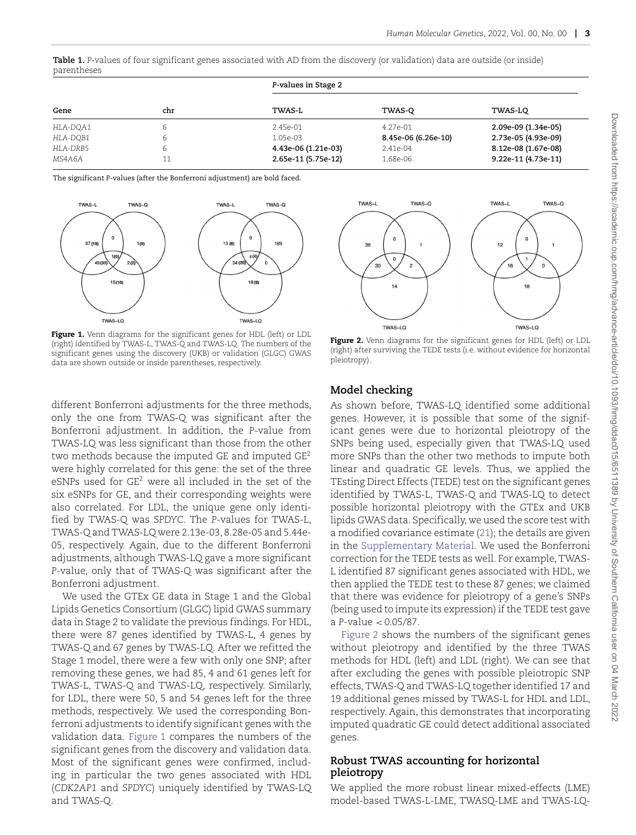<span id="page-2-0"></span>**Table 1.** *P*-values of four significant genes associated with AD from the discovery (or validation) data are outside (or inside) parentheses

| Gene     | chr | P-values in Stage 2 |                     |                     |
|----------|-----|---------------------|---------------------|---------------------|
|          |     | TWAS-L              | TWAS-O              | TWAS-LQ             |
| HLA-DOA1 | 6   | 2.45e-01            | 4.27e-01            | 2.09e-09 (1.34e-05) |
| HLA-DOB1 | 6   | 1.05e-03            | 8.45e-06 (6.26e-10) | 2.73e-05 (4.93e-09) |
| HLA-DRB5 | 6   | 4.43e-06 (1.21e-03) | 2.41e-04            | 8.12e-08 (1.67e-08) |
| MS4A6A   | 11  | 2.65e-11 (5.75e-12) | 1.68e-06            | 9.22e-11 (4.73e-11) |

The significant *P*-values (after the Bonferroni adjustment) are bold faced.



<span id="page-2-1"></span>**Figure 1.** Venn diagrams for the significant genes for HDL (left) or LDL (right) identified by TWAS-L, TWAS-Q and TWAS-LQ. The numbers of the significant genes using the discovery (UKB) or validation (GLGC) GWAS data are shown outside or inside parentheses, respectively.



We used the GTEx GE data in Stage 1 and the Global Lipids Genetics Consortium (GLGC) lipid GWAS summary data in Stage 2 to validate the previous findings. For HDL, there were 87 genes identified by TWAS-L, 4 genes by TWAS-Q and 67 genes by TWAS-LQ. After we refitted the Stage 1 model, there were a few with only one SNP; after removing these genes, we had 85, 4 and 61 genes left for TWAS-L, TWAS-Q and TWAS-LQ, respectively. Similarly, for LDL, there were 50, 5 and 54 genes left for the three methods, respectively. We used the corresponding Bonferroni adjustments to identify significant genes with the validation data. [Figure 1](#page-2-1) compares the numbers of the significant genes from the discovery and validation data. Most of the significant genes were confirmed, including in particular the two genes associated with HDL (*CDK2AP1* and *SPDYC*) uniquely identified by TWAS-LQ and TWAS-Q.



<span id="page-2-2"></span>**Figure 2.** Venn diagrams for the significant genes for HDL (left) or LDL (right) after surviving the TEDE tests (i.e. without evidence for horizontal pleiotropy).

## **Model checking**

As shown before, TWAS-LQ identified some additional genes. However, it is possible that some of the significant genes were due to horizontal pleiotropy of the SNPs being used, especially given that TWAS-LQ used more SNPs than the other two methods to impute both linear and quadratic GE levels. Thus, we applied the TEsting Direct Effects (TEDE) test on the significant genes identified by TWAS-L, TWAS-Q and TWAS-LQ to detect possible horizontal pleiotropy with the GTEx and UKB lipids GWAS data. Specifically, we used the score test with a modified covariance estimate [\(21](#page-7-13)); the details are given in the [Supplementary Material.](https://academic.oup.com/hmg/article-lookup/doi/10.1093/hmg/ddac015#supplementary-data) We used the Bonferroni correction for the TEDE tests as well. For example, TWAS-L identified 87 significant genes associated with HDL, we then applied the TEDE test to these 87 genes; we claimed that there was evidence for pleiotropy of a gene's SNPs (being used to impute its expression) if the TEDE test gave a *P*-value *<* 0*.*05/87.

<span id="page-2-3"></span>[Figure 2](#page-2-2) shows the numbers of the significant genes without pleiotropy and identified by the three TWAS methods for HDL (left) and LDL (right). We can see that after excluding the genes with possible pleiotropic SNP effects, TWAS-Q and TWAS-LQ together identified 17 and 19 additional genes missed by TWAS-L for HDL and LDL, respectively. Again, this demonstrates that incorporating imputed quadratic GE could detect additional associated genes.

## **Robust TWAS accounting for horizontal pleiotropy**

We applied the more robust linear mixed-effects (LME) model-based TWAS-L-LME, TWASQ-LME and TWAS-LQ-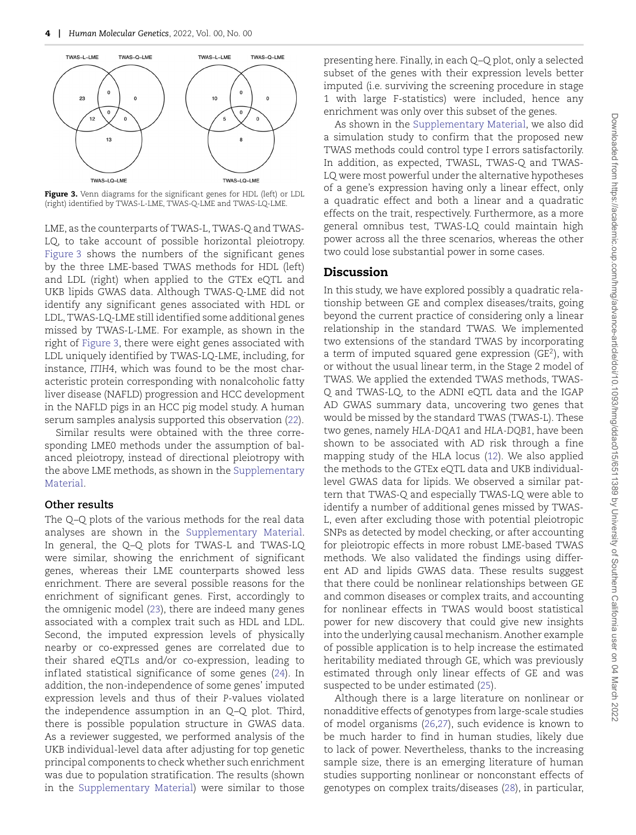

<span id="page-3-0"></span>**Figure 3.** Venn diagrams for the significant genes for HDL (left) or LDL (right) identified by TWAS-L-LME, TWAS-Q-LME and TWAS-LQ-LME.

LME, as the counterparts of TWAS-L, TWAS-Q and TWAS-LQ, to take account of possible horizontal pleiotropy. [Figure 3](#page-3-0) shows the numbers of the significant genes by the three LME-based TWAS methods for HDL (left) and LDL (right) when applied to the GTEx eQTL and UKB lipids GWAS data. Although TWAS-Q-LME did not identify any significant genes associated with HDL or LDL, TWAS-LQ-LME still identified some additional genes missed by TWAS-L-LME. For example, as shown in the right of [Figure 3](#page-3-0), there were eight genes associated with LDL uniquely identified by TWAS-LQ-LME, including, for instance, *ITIH4*, which was found to be the most characteristic protein corresponding with nonalcoholic fatty liver disease (NAFLD) progression and HCC development in the NAFLD pigs in an HCC pig model study. A human serum samples analysis supported this observation ([22\)](#page-7-14).

Similar results were obtained with the three corresponding LME0 methods under the assumption of balanced pleiotropy, instead of directional pleiotropy with [the above LME methods, as shown in the](https://academic.oup.com/hmg/article-lookup/doi/10.1093/hmg/ddac015#supplementary-data) Supplementary Material.

#### **Other results**

<span id="page-3-2"></span>The Q–Q plots of the various methods for the real data analyses are shown in the [Supplementary Material.](https://academic.oup.com/hmg/article-lookup/doi/10.1093/hmg/ddac015#supplementary-data) In general, the Q–Q plots for TWAS-L and TWAS-LQ were similar, showing the enrichment of significant genes, whereas their LME counterparts showed less enrichment. There are several possible reasons for the enrichment of significant genes. First, accordingly to the omnigenic model [\(23](#page-7-15)), there are indeed many genes associated with a complex trait such as HDL and LDL. Second, the imputed expression levels of physically nearby or co-expressed genes are correlated due to their shared eQTLs and/or co-expression, leading to inf lated statistical significance of some genes ([24\)](#page-7-16). In addition, the non-independence of some genes' imputed expression levels and thus of their *P*-values violated the independence assumption in an Q–Q plot. Third, there is possible population structure in GWAS data. As a reviewer suggested, we performed analysis of the UKB individual-level data after adjusting for top genetic principal components to check whether such enrichment was due to population stratification. The results (shown in the [Supplementary Material\)](https://academic.oup.com/hmg/article-lookup/doi/10.1093/hmg/ddac015#supplementary-data) were similar to those

presenting here. Finally, in each Q–Q plot, only a selected subset of the genes with their expression levels better imputed (i.e. surviving the screening procedure in stage 1 with large F-statistics) were included, hence any enrichment was only over this subset of the genes.

As shown in the [Supplementary Material,](https://academic.oup.com/hmg/article-lookup/doi/10.1093/hmg/ddac015#supplementary-data) we also did a simulation study to confirm that the proposed new TWAS methods could control type I errors satisfactorily. In addition, as expected, TWASL, TWAS-Q and TWAS-LQ were most powerful under the alternative hypotheses of a gene's expression having only a linear effect, only a quadratic effect and both a linear and a quadratic effects on the trait, respectively. Furthermore, as a more general omnibus test, TWAS-LQ could maintain high power across all the three scenarios, whereas the other two could lose substantial power in some cases.

## **Discussion**

<span id="page-3-1"></span>In this study, we have explored possibly a quadratic relationship between GE and complex diseases/traits, going beyond the current practice of considering only a linear relationship in the standard TWAS. We implemented two extensions of the standard TWAS by incorporating a term of imputed squared gene expression  $(GE<sup>2</sup>)$ , with or without the usual linear term, in the Stage 2 model of TWAS. We applied the extended TWAS methods, TWAS-Q and TWAS-LQ, to the ADNI eQTL data and the IGAP AD GWAS summary data, uncovering two genes that would be missed by the standard TWAS (TWAS-L). These two genes, namely *HLA-DQA1* and *HLA-DQB1*, have been shown to be associated with AD risk through a fine mapping study of the HLA locus [\(12](#page-7-5)). We also applied the methods to the GTEx eQTL data and UKB individuallevel GWAS data for lipids. We observed a similar pattern that TWAS-Q and especially TWAS-LQ were able to identify a number of additional genes missed by TWAS-L, even after excluding those with potential pleiotropic SNPs as detected by model checking, or after accounting for pleiotropic effects in more robust LME-based TWAS methods. We also validated the findings using different AD and lipids GWAS data. These results suggest that there could be nonlinear relationships between GE and common diseases or complex traits, and accounting for nonlinear effects in TWAS would boost statistical power for new discovery that could give new insights into the underlying causal mechanism. Another example of possible application is to help increase the estimated heritability mediated through GE, which was previously estimated through only linear effects of GE and was suspected to be under estimated ([25\)](#page-7-17).

<span id="page-3-7"></span><span id="page-3-6"></span><span id="page-3-5"></span><span id="page-3-4"></span><span id="page-3-3"></span>Although there is a large literature on nonlinear or nonadditive effects of genotypes from large-scale studies of model organisms ([26,](#page-7-18)[27\)](#page-7-19), such evidence is known to be much harder to find in human studies, likely due to lack of power. Nevertheless, thanks to the increasing sample size, there is an emerging literature of human studies supporting nonlinear or nonconstant effects of genotypes on complex traits/diseases ([28\)](#page-7-20), in particular,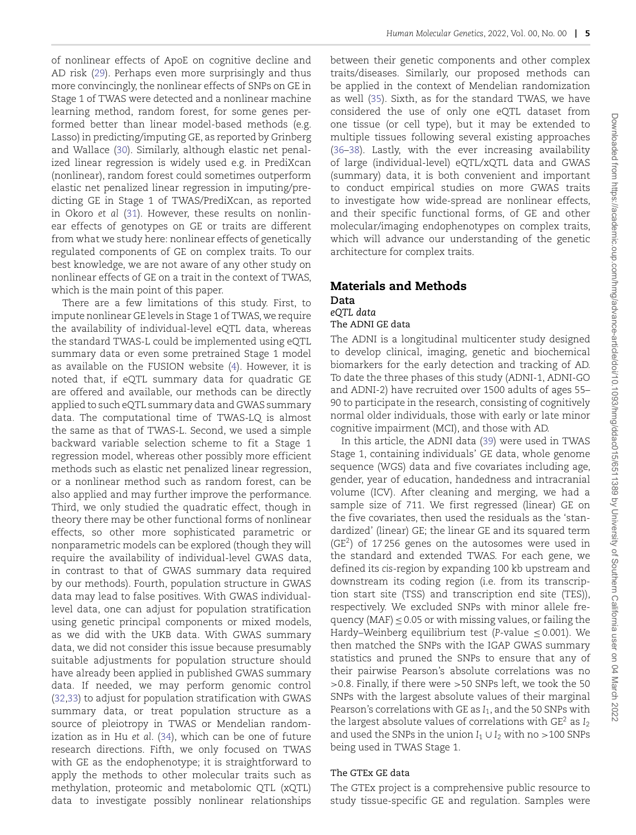<span id="page-4-1"></span><span id="page-4-0"></span>of nonlinear effects of ApoE on cognitive decline and AD risk [\(29](#page-7-21)). Perhaps even more surprisingly and thus more convincingly, the nonlinear effects of SNPs on GE in Stage 1 of TWAS were detected and a nonlinear machine learning method, random forest, for some genes performed better than linear model-based methods (e.g. Lasso) in predicting/imputing GE, as reported by Grinberg and Wallace [\(30](#page-7-22)). Similarly, although elastic net penalized linear regression is widely used e.g. in PrediXcan (nonlinear), random forest could sometimes outperform elastic net penalized linear regression in imputing/predicting GE in Stage 1 of TWAS/PrediXcan, as reported in Okoro *et al* ([31\)](#page-7-23). However, these results on nonlinear effects of genotypes on GE or traits are different from what we study here: nonlinear effects of genetically regulated components of GE on complex traits. To our best knowledge, we are not aware of any other study on nonlinear effects of GE on a trait in the context of TWAS, which is the main point of this paper.

<span id="page-4-2"></span>There are a few limitations of this study. First, to impute nonlinear GE levels in Stage 1 of TWAS, we require the availability of individual-level eQTL data, whereas the standard TWAS-L could be implemented using eQTL summary data or even some pretrained Stage 1 model as available on the FUSION website ([4\)](#page-6-2). However, it is noted that, if eQTL summary data for quadratic GE are offered and available, our methods can be directly applied to such eQTL summary data and GWAS summary data. The computational time of TWAS-LQ is almost the same as that of TWAS-L. Second, we used a simple backward variable selection scheme to fit a Stage 1 regression model, whereas other possibly more efficient methods such as elastic net penalized linear regression, or a nonlinear method such as random forest, can be also applied and may further improve the performance. Third, we only studied the quadratic effect, though in theory there may be other functional forms of nonlinear effects, so other more sophisticated parametric or nonparametric models can be explored (though they will require the availability of individual-level GWAS data, in contrast to that of GWAS summary data required by our methods). Fourth, population structure in GWAS data may lead to false positives. With GWAS individuallevel data, one can adjust for population stratification using genetic principal components or mixed models, as we did with the UKB data. With GWAS summary data, we did not consider this issue because presumably suitable adjustments for population structure should have already been applied in published GWAS summary data. If needed, we may perform genomic control [\(32](#page-7-24)[,33](#page-7-25)) to adjust for population stratification with GWAS summary data, or treat population structure as a source of pleiotropy in TWAS or Mendelian randomization as in Hu *et al*. [\(34](#page-7-26)), which can be one of future research directions. Fifth, we only focused on TWAS with GE as the endophenotype; it is straightforward to apply the methods to other molecular traits such as methylation, proteomic and metabolomic QTL (xQTL) data to investigate possibly nonlinear relationships <span id="page-4-8"></span><span id="page-4-7"></span><span id="page-4-6"></span>between their genetic components and other complex traits/diseases. Similarly, our proposed methods can be applied in the context of Mendelian randomization as well [\(35](#page-7-27)). Sixth, as for the standard TWAS, we have considered the use of only one eQTL dataset from one tissue (or cell type), but it may be extended to multiple tissues following several existing approaches [\(36](#page-7-28)–[38\)](#page-8-0). Lastly, with the ever increasing availability of large (individual-level) eQTL/xQTL data and GWAS (summary) data, it is both convenient and important to conduct empirical studies on more GWAS traits to investigate how wide-spread are nonlinear effects, and their specific functional forms, of GE and other molecular/imaging endophenotypes on complex traits, which will advance our understanding of the genetic architecture for complex traits.

## **Materials and Methods**

**Data** *eQTL data*

## The ADNI GE data

The ADNI is a longitudinal multicenter study designed to develop clinical, imaging, genetic and biochemical biomarkers for the early detection and tracking of AD. To date the three phases of this study (ADNI-1, ADNI-GO and ADNI-2) have recruited over 1500 adults of ages 55– 90 to participate in the research, consisting of cognitively normal older individuals, those with early or late minor cognitive impairment (MCI), and those with AD.

<span id="page-4-9"></span>In this article, the ADNI data [\(39](#page-8-1)) were used in TWAS Stage 1, containing individuals' GE data, whole genome sequence (WGS) data and five covariates including age, gender, year of education, handedness and intracranial volume (ICV). After cleaning and merging, we had a sample size of 711. We first regressed (linear) GE on the five covariates, then used the residuals as the 'standardized' (linear) GE; the linear GE and its squared term (GE2) of 17 256 genes on the autosomes were used in the standard and extended TWAS. For each gene, we defined its *cis*-region by expanding 100 kb upstream and downstream its coding region (i.e. from its transcription start site (TSS) and transcription end site (TES)), respectively. We excluded SNPs with minor allele frequency (MAF)  $\leq$  0.05 or with missing values, or failing the Hardy–Weinberg equilibrium test (*P*-value ≤ 0*.*001). We then matched the SNPs with the IGAP GWAS summary statistics and pruned the SNPs to ensure that any of their pairwise Pearson's absolute correlations was no *>*0.8. Finally, if there were *>*50 SNPs left, we took the 50 SNPs with the largest absolute values of their marginal Pearson's correlations with GE as *I*1, and the 50 SNPs with the largest absolute values of correlations with GE2 as *I*<sup>2</sup> and used the SNPs in the union  $I_1 \cup I_2$  with no >100 SNPs being used in TWAS Stage 1.

## <span id="page-4-5"></span><span id="page-4-4"></span><span id="page-4-3"></span>The GTEx GE data

The GTEx project is a comprehensive public resource to study tissue-specific GE and regulation. Samples were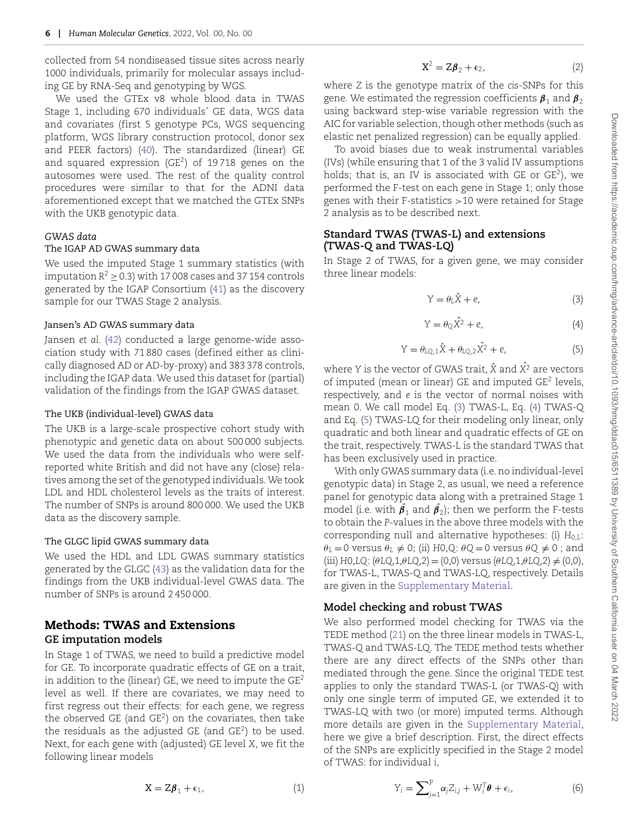collected from 54 nondiseased tissue sites across nearly 1000 individuals, primarily for molecular assays including GE by RNA-Seq and genotyping by WGS.

<span id="page-5-6"></span>We used the GTEx v8 whole blood data in TWAS Stage 1, including 670 individuals' GE data, WGS data and covariates (first 5 genotype PCs, WGS sequencing platform, WGS library construction protocol, donor sex and PEER factors) [\(40](#page-8-2)). The standardized (linear) GE and squared expression ( $GE^2$ ) of 19718 genes on the autosomes were used. The rest of the quality control procedures were similar to that for the ADNI data aforementioned except that we matched the GTEx SNPs with the UKB genotypic data.

#### *GWAS data*

#### The IGAP AD GWAS summary data

We used the imputed Stage 1 summary statistics (with imputation  $R^2 > 0.3$ ) with 17 008 cases and 37 154 controls generated by the IGAP Consortium [\(41](#page-8-3)) as the discovery sample for our TWAS Stage 2 analysis.

#### Jansen's AD GWAS summary data

<span id="page-5-8"></span>Jansen *et al*. [\(42](#page-8-4)) conducted a large genome-wide association study with 71 880 cases (defined either as clinically diagnosed AD or AD-by-proxy) and 383 378 controls, including the IGAP data.We used this dataset for (partial) validation of the findings from the IGAP GWAS dataset.

#### The UKB (individual-level) GWAS data

The UKB is a large-scale prospective cohort study with phenotypic and genetic data on about 500 000 subjects. We used the data from the individuals who were selfreported white British and did not have any (close) relatives among the set of the genotyped individuals.We took LDL and HDL cholesterol levels as the traits of interest. The number of SNPs is around 800 000. We used the UKB data as the discovery sample.

#### The GLGC lipid GWAS summary data

<span id="page-5-9"></span>We used the HDL and LDL GWAS summary statistics generated by the GLGC ([43\)](#page-8-5) as the validation data for the findings from the UKB individual-level GWAS data. The number of SNPs is around 2 450 000.

## **Methods: TWAS and Extensions GE imputation models**

In Stage 1 of TWAS, we need to build a predictive model for GE. To incorporate quadratic effects of GE on a trait, in addition to the (linear) GE, we need to impute the  $GE<sup>2</sup>$ level as well. If there are covariates, we may need to first regress out their effects: for each gene, we regress the observed GE (and  $GE^2$ ) on the covariates, then take the residuals as the adjusted GE (and  $GE^2$ ) to be used. Next, for each gene with (adjusted) GE level *X*, we fit the following linear models

$$
\mathbf{X}^2 = \mathbf{Z}\boldsymbol{\beta}_2 + \boldsymbol{\epsilon}_2,\tag{2}
$$

<span id="page-5-1"></span>where *Z* is the genotype matrix of the *cis*-SNPs for this gene. We estimated the regression coefficients  $\beta_1$  and  $\beta_2$ using backward step-wise variable regression with the AIC for variable selection, though other methods (such as elastic net penalized regression) can be equally applied.

To avoid biases due to weak instrumental variables (IVs) (while ensuring that 1 of the 3 valid IV assumptions holds; that is, an IV is associated with GE or  $GE^2$ ), we performed the F-test on each gene in Stage 1; only those genes with their F-statistics *>*10 were retained for Stage 2 analysis as to be described next.

## **Standard TWAS (TWAS-L) and extensions (TWAS-Q and TWAS-LQ)**

<span id="page-5-7"></span><span id="page-5-3"></span>In Stage 2 of TWAS, for a given gene, we may consider three linear models:

<span id="page-5-2"></span>
$$
Y = \theta_L \hat{X} + e,\tag{3}
$$

$$
Y = \theta_{Q}\hat{X}^{2} + e,
$$
 (4)

$$
Y = \theta_{LQ,1}\hat{X} + \theta_{LQ,2}\hat{X}^2 + e,\tag{5}
$$

<span id="page-5-4"></span>where *Y* is the vector of GWAS trait, *X*ˆ and *X*ˆ<sup>2</sup> are vectors of imputed (mean or linear) GE and imputed GE<sup>2</sup> levels, respectively, and *e* is the vector of normal noises with mean 0. We call model Eq. ([3\)](#page-5-2) TWAS-L, Eq. ([4\)](#page-5-3) TWAS-Q and Eq. ([5\)](#page-5-4) TWAS-LQ for their modeling only linear, only quadratic and both linear and quadratic effects of GE on the trait, respectively. TWAS-L is the standard TWAS that has been exclusively used in practice.

With only GWAS summary data (i.e. no individual-level genotypic data) in Stage 2, as usual, we need a reference panel for genotypic data along with a pretrained Stage 1 model (i.e. with  $\pmb{\beta}_1$  and  $\pmb{\beta}_2$ ); then we perform the F-tests to obtain the *P*-values in the above three models with the corresponding null and alternative hypotheses: (i) *H*0*,L*:  $\theta$ <sup>*L*</sup> = 0 versus  $\theta$ <sup>*L*</sup>  $\neq$  0; (ii) *H*0*,Q*:  $\theta$ *Q* = 0 versus  $\theta$ *Q*  $\neq$  0 ; and  $(iii)$   $HO, LQ: (\theta LQ, 1, \theta LQ, 2) = (0, 0)$  versus  $(\theta LQ, 1, \theta LQ, 2) \neq (0, 0),$ for TWAS-L, TWAS-Q and TWAS-LQ, respectively. Details are given in the [Supplementary Material.](https://academic.oup.com/hmg/article-lookup/doi/10.1093/hmg/ddac015#supplementary-data)

#### **Model checking and robust TWAS**

We also performed model checking for TWAS via the TEDE method ([21\)](#page-7-13) on the three linear models in TWAS-L, TWAS-Q and TWAS-LQ. The TEDE method tests whether there are any direct effects of the SNPs other than mediated through the gene. Since the original TEDE test applies to only the standard TWAS-L (or TWAS-Q) with only one single term of imputed GE, we extended it to TWAS-LQ with two (or more) imputed terms. Although more details are given in the [Supplementary Material,](https://academic.oup.com/hmg/article-lookup/doi/10.1093/hmg/ddac015#supplementary-data) here we give a brief description. First, the direct effects of the SNPs are explicitly specified in the Stage 2 model of TWAS: for individual *i*,

<span id="page-5-0"></span>
$$
X = Z\beta_1 + \epsilon_1,\tag{1}
$$

<span id="page-5-5"></span>
$$
Y_i = \sum_{j=1}^p \alpha_j Z_{i,j} + W_i^T \boldsymbol{\theta} + \epsilon_i,
$$
 (6)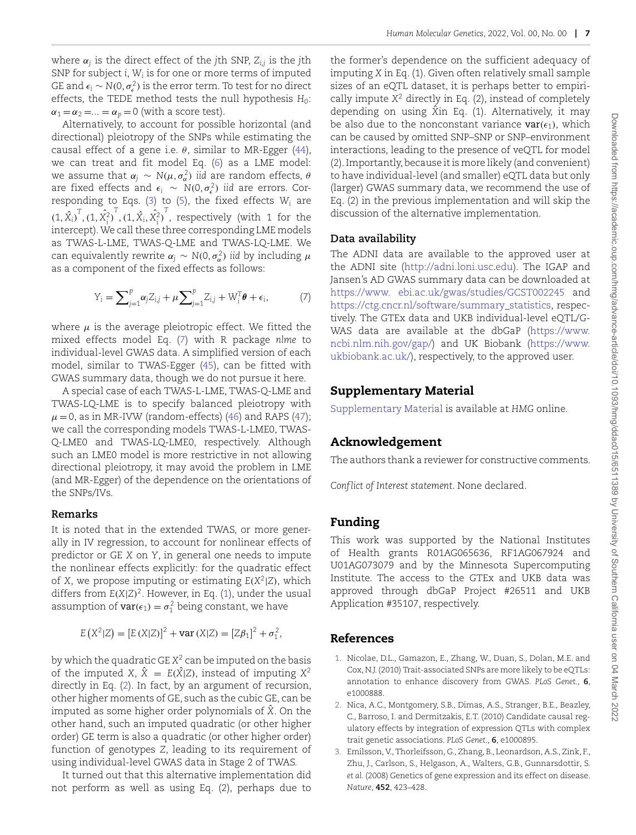where  $\alpha_i$  is the direct effect of the *j*th SNP,  $Z_{i,j}$  is the *j*th SNP for subject *i*, *Wi* is for one or more terms of imputed GE and  $\epsilon_i \sim N(0, \sigma_{\epsilon}^2)$  is the error term. To test for no direct effects, the TEDE method tests the null hypothesis *H*<sub>0</sub>:  $\alpha_1 = \alpha_2 = \ldots = \alpha_p = 0$  (with a score test).

Alternatively, to account for possible horizontal (and directional) pleiotropy of the SNPs while estimating the causal effect of a gene i.e. *θ*, similar to MR-Egger [\(44](#page-8-6)), we can treat and fit model Eq. ([6\)](#page-5-5) as a LME model:  $\alpha$  we assume that  $\alpha_j \sim \mathrm{N}(\mu, \sigma^2_{\alpha})$  *iid* are random effects,  $\theta$ are fixed effects and  $\epsilon_i \sim N(0, \sigma_{\epsilon}^2)$  *iid* are errors. Corresponding to Eqs. [\(3](#page-5-2)) to ([5\)](#page-5-4), the fixed effects *Wi* are  $(1, \hat{X}_i)^T$ ,  $(1, \hat{X}_i^2)^T$ ,  $(1, \hat{X}_i, \hat{X}_i^2)^T$ , respectively (with 1 for the intercept).We call these three corresponding LME models as TWAS-L-LME, TWAS-Q-LME and TWAS-LQ-LME. We can equivalently rewrite  $\alpha_j \sim N(0, \sigma_{\alpha}^2)$  *iid* by including  $\mu$ as a component of the fixed effects as follows:

$$
Y_i = \sum_{j=1}^p \alpha_j Z_{i,j} + \mu \sum_{j=1}^p Z_{i,j} + W_i^T \theta + \epsilon_i,
$$
 (7)

where  $\mu$  is the average pleiotropic effect. We fitted the mixed effects model Eq. [\(7](#page-6-3)) with R package *nlme* to individual-level GWAS data. A simplified version of each model, similar to TWAS-Egger ([45\)](#page-8-7), can be fitted with GWAS summary data, though we do not pursue it here.

A special case of each TWAS-L-LME, TWAS-Q-LME and TWAS-LQ-LME is to specify balanced pleiotropy with  $\mu$  = 0, as in MR-IVW (random-effects) ([46\)](#page-8-8) and RAPS [\(47](#page-8-9)); we call the corresponding models TWAS-L-LME0, TWAS-Q-LME0 and TWAS-LQ-LME0, respectively. Although such an LME0 model is more restrictive in not allowing directional pleiotropy, it may avoid the problem in LME (and MR-Egger) of the dependence on the orientations of the SNPs/IVs.

#### **Remarks**

It is noted that in the extended TWAS, or more generally in IV regression, to account for nonlinear effects of predictor or GE *X* on *Y*, in general one needs to impute the nonlinear effects explicitly: for the quadratic effect of *X*, we propose imputing or estimating  $E(X^2|Z)$ , which differs from *E(X*|*Z)*2. However, in Eq. [\(1](#page-5-0)), under the usual assumption of  $var(\epsilon_1) = \sigma_1^2$  being constant, we have

$$
E(X^{2}|Z) = [E(X|Z)]^{2} + \text{var}(X|Z) = [Z\beta_{1}]^{2} + \sigma_{1}^{2},
$$

by which the quadratic GE *X*<sup>2</sup> can be imputed on the basis of the imputed *X*,  $\hat{X} = E(\hat{X} | Z)$ , instead of imputing  $X^2$ directly in Eq. [\(2](#page-5-1)). In fact, by an argument of recursion, other higher moments of GE, such as the cubic GE, can be imputed as some higher order polynomials of  $\hat{X}$ . On the other hand, such an imputed quadratic (or other higher order) GE term is also a quadratic (or other higher order) function of genotypes *Z*, leading to its requirement of using individual-level GWAS data in Stage 2 of TWAS.

It turned out that this alternative implementation did not perform as well as using Eq. (2), perhaps due to

the former's dependence on the sufficient adequacy of imputing *X* in Eq. (1). Given often relatively small sample sizes of an eQTL dataset, it is perhaps better to empirically impute *X*<sup>2</sup> directly in Eq. (2), instead of completely depending on using  $\hat{X}$ in Eq. (1). Alternatively, it may be also due to the nonconstant variance  $var(\epsilon_1)$ , which can be caused by omitted SNP–SNP or SNP–environment interactions, leading to the presence of veQTL for model (2). Importantly, because it is more likely (and convenient) to have individual-level (and smaller) eQTL data but only (larger) GWAS summary data, we recommend the use of Eq. (2) in the previous implementation and will skip the discussion of the alternative implementation.

## <span id="page-6-4"></span>**Data availability**

<span id="page-6-3"></span>The ADNI data are available to the approved user at the ADNI site [\(http://adni.loni.usc](http://adni.loni.usc)[.edu\)](edu). The IGAP and Jansen's AD GWAS summary data can be downloaded at <https://www.><ebi.ac.uk/gwas/studies/GCST002245> and [https://ctg.cncr.nl/software/summary\\_](https://ctg.cncr.nl/software/summary)[statistics,](statistics) respectively. The GTEx data and UKB individual-level eQTL/G-WAS data are available at the dbGaP [\(https://www.](https://www.ncbi.nlm.nih.gov/gap/) [ncbi.nlm.nih.gov/gap/\)](https://www.ncbi.nlm.nih.gov/gap/) and UK Biobank [\(https:](https)[//www.](//www.ukbiobank.ac.uk/) [ukbiobank.ac.uk/\)](//www.ukbiobank.ac.uk/), respectively, to the approved user.

## <span id="page-6-5"></span>**Supplementary Material**

[Supplementary Material](https://academic.oup.com/hmg/article-lookup/doi/10.1093/hmg/ddac015#supplementary-data) is available at *HMG* online.

## <span id="page-6-7"></span><span id="page-6-6"></span>**Acknowledgement**

The authors thank a reviewer for constructive comments.

*Conflict of Interest statement*. None declared.

## **Funding**

This work was supported by the National Institutes of Health grants R01AG065636, RF1AG067924 and U01AG073079 and by the Minnesota Supercomputing Institute. The access to the GTEx and UKB data was approved through dbGaP Project #26511 and UKB Application #35107, respectively.

## **References**

- <span id="page-6-0"></span>[1.](#page-0-0) Nicolae, D.L., Gamazon, E., Zhang, W., Duan, S., Dolan, M.E. and Cox, N.J. (2010) Trait-associated SNPs are more likely to be eQTLs: annotation to enhance discovery from GWAS. *PLoS Genet.*, **6**, e1000888.
- 2. Nica, A.C., Montgomery, S.B., Dimas, A.S., Stranger, B.E., Beazley, C., Barroso, I. and Dermitzakis, E.T. (2010) Candidate causal regulatory effects by integration of expression QTLs with complex trait genetic associations. *PLoS Genet.*, **6**, e1000895.
- <span id="page-6-2"></span><span id="page-6-1"></span>[3.](#page-0-1) Emilsson, V., Thorleifsson, G., Zhang, B., Leonardson, A.S., Zink, F., Zhu, J., Carlson, S., Helgason, A., Walters, G.B., Gunnarsdottir, S. *et al.* (2008) Genetics of gene expression and its effect on disease. *Nature*, **452**, 423–428.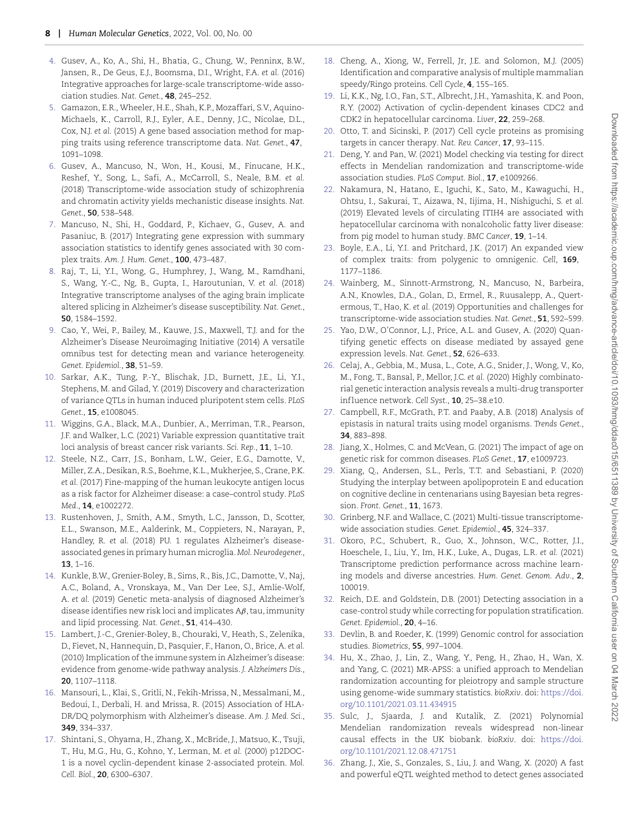- [4.](#page-0-2) Gusev, A., Ko, A., Shi, H., Bhatia, G., Chung, W., Penninx, B.W., Jansen, R., De Geus, E.J., Boomsma, D.I., Wright, F.A. *et al.* (2016) Integrative approaches for large-scale transcriptome-wide association studies. *Nat. Genet.*, **48**, 245–252.
- <span id="page-7-0"></span>[5.](#page-0-3) Gamazon, E.R., Wheeler, H.E., Shah, K.P., Mozaffari, S.V., Aquino-Michaels, K., Carroll, R.J., Eyler, A.E., Denny, J.C., Nicolae, D.L., Cox, N.J. *et al.* (2015) A gene based association method for mapping traits using reference transcriptome data. *Nat. Genet.*, **47**, 1091–1098.
- <span id="page-7-1"></span>[6.](#page-0-4) Gusev, A., Mancuso, N., Won, H., Kousi, M., Finucane, H.K., Reshef, Y., Song, L., Safi, A., McCarroll, S., Neale, B.M. *et al.* (2018) Transcriptome-wide association study of schizophrenia and chromatin activity yields mechanistic disease insights. *Nat. Genet.*, **50**, 538–548.
- 7. Mancuso, N., Shi, H., Goddard, P., Kichaev, G., Gusev, A. and Pasaniuc, B. (2017) Integrating gene expression with summary association statistics to identify genes associated with 30 complex traits. *Am. J. Hum. Genet.*, **100**, 473–487.
- <span id="page-7-2"></span>[8.](#page-0-5) Raj, T., Li, Y.I., Wong, G., Humphrey, J., Wang, M., Ramdhani, S., Wang, Y.-C., Ng, B., Gupta, I., Haroutunian, V. *et al.* (2018) Integrative transcriptome analyses of the aging brain implicate altered splicing in Alzheimer's disease susceptibility. *Nat. Genet.*, **50**, 1584–1592.
- <span id="page-7-3"></span>[9.](#page-0-6) Cao, Y., Wei, P., Bailey, M., Kauwe, J.S., Maxwell, T.J. and for the Alzheimer's Disease Neuroimaging Initiative (2014) A versatile omnibus test for detecting mean and variance heterogeneity. *Genet. Epidemiol.*, **38**, 51–59.
- 10. Sarkar, A.K., Tung, P.-Y., Blischak, J.D., Burnett, J.E., Li, Y.I., Stephens, M. and Gilad, Y. (2019) Discovery and characterization of variance QTLs in human induced pluripotent stem cells. *PLoS Genet.*, **15**, e1008045.
- <span id="page-7-4"></span>[11.](#page-0-7) Wiggins, G.A., Black, M.A., Dunbier, A., Merriman, T.R., Pearson, J.F. and Walker, L.C. (2021) Variable expression quantitative trait loci analysis of breast cancer risk variants. *Sci. Rep.*, **11**, 1–10.
- <span id="page-7-5"></span>[12.](#page-1-0) Steele, N.Z., Carr, J.S., Bonham, L.W., Geier, E.G., Damotte, V., Miller, Z.A., Desikan, R.S., Boehme, K.L., Mukherjee, S., Crane, P.K. *et al.* (2017) Fine-mapping of the human leukocyte antigen locus as a risk factor for Alzheimer disease: a case–control study. *PLoS Med.*, **14**, e1002272.
- 13. Rustenhoven, J., Smith, A.M., Smyth, L.C., Jansson, D., Scotter, E.L., Swanson, M.E., Aalderink, M., Coppieters, N., Narayan, P., Handley, R. *et al.* (2018) PU. 1 regulates Alzheimer's diseaseassociated genes in primary human microglia. *Mol. Neurodegener.*, **13**, 1–16.
- <span id="page-7-8"></span>[14.](#page-1-1) Kunkle, B.W., Grenier-Boley, B., Sims, R., Bis, J.C., Damotte, V., Naj, A.C., Boland, A., Vronskaya, M., Van Der Lee, S.J., Amlie-Wolf, A. *et al.* (2019) Genetic meta-analysis of diagnosed Alzheimer's disease identifies new risk loci and implicates A*β*, tau, immunity and lipid processing. *Nat. Genet.*, **51**, 414–430.
- <span id="page-7-7"></span>[15.](#page-1-2) Lambert, J.-C., Grenier-Boley, B., Chouraki, V., Heath, S., Zelenika, D., Fievet, N., Hannequin, D., Pasquier, F., Hanon, O., Brice, A. *et al.* (2010) Implication of the immune system in Alzheimer's disease: evidence from genome-wide pathway analysis. *J. Alzheimers Dis.*, **20**, 1107–1118.
- <span id="page-7-6"></span>[16.](#page-1-3) Mansouri, L., Klai, S., Gritli, N., Fekih-Mrissa, N., Messalmani, M., Bedoui, I., Derbali, H. and Mrissa, R. (2015) Association of HLA-DR/DQ polymorphism with Alzheimer's disease. *Am. J. Med. Sci.*, **349**, 334–337.
- <span id="page-7-10"></span><span id="page-7-9"></span>[17.](#page-1-4) Shintani, S., Ohyama, H., Zhang, X., McBride, J., Matsuo, K., Tsuji, T., Hu, M.G., Hu, G., Kohno, Y., Lerman, M. *et al.* (2000) p12DOC-1 is a novel cyclin-dependent kinase 2-associated protein. *Mol. Cell. Biol.*, **20**, 6300–6307.
- [18.](#page-1-5) Cheng, A., Xiong, W., Ferrell, Jr, J.E. and Solomon, M.J. (2005) Identification and comparative analysis of multiple mammalian speedy/Ringo proteins. *Cell Cycle*, **4**, 155–165.
- <span id="page-7-11"></span>[19.](#page-1-6) Li, K.K., Ng, I.O., Fan, S.T., Albrecht, J.H., Yamashita, K. and Poon, R.Y. (2002) Activation of cyclin-dependent kinases CDC2 and CDK2 in hepatocellular carcinoma. *Liver*, **22**, 259–268.
- <span id="page-7-12"></span>[20.](#page-1-7) Otto, T. and Sicinski, P. (2017) Cell cycle proteins as promising targets in cancer therapy. *Nat. Rev. Cancer*, **17**, 93–115.
- <span id="page-7-13"></span>[21.](#page-2-3) Deng, Y. and Pan, W. (2021) Model checking via testing for direct effects in Mendelian randomization and transcriptome-wide association studies. *PLoS Comput. Biol.*, **17**, e1009266.
- <span id="page-7-14"></span>[22.](#page-3-1) Nakamura, N., Hatano, E., Iguchi, K., Sato, M., Kawaguchi, H., Ohtsu, I., Sakurai, T., Aizawa, N., Iijima, H., Nishiguchi, S. *et al.* (2019) Elevated levels of circulating ITIH4 are associated with hepatocellular carcinoma with nonalcoholic fatty liver disease: from pig model to human study. *BMC Cancer*, **19**, 1–14.
- <span id="page-7-15"></span>[23.](#page-3-2) Boyle, E.A., Li, Y.I. and Pritchard, J.K. (2017) An expanded view of complex traits: from polygenic to omnigenic. *Cell*, **169**, 1177–1186.
- <span id="page-7-16"></span>[24.](#page-3-3) Wainberg, M., Sinnott-Armstrong, N., Mancuso, N., Barbeira, A.N., Knowles, D.A., Golan, D., Ermel, R., Ruusalepp, A., Quertermous, T., Hao, K. *et al.* (2019) Opportunities and challenges for transcriptome-wide association studies. *Nat. Genet.*, **51**, 592–599.
- <span id="page-7-17"></span>[25.](#page-3-4) Yao, D.W., O'Connor, L.J., Price, A.L. and Gusev, A. (2020) Quantifying genetic effects on disease mediated by assayed gene expression levels. *Nat. Genet.*, **52**, 626–633.
- <span id="page-7-18"></span>[26.](#page-3-5) Celaj, A., Gebbia, M., Musa, L., Cote, A.G., Snider, J., Wong, V., Ko, M., Fong, T., Bansal, P., Mellor, J.C. *et al.* (2020) Highly combinatorial genetic interaction analysis reveals a multi-drug transporter inf luence network. *Cell Syst.*, **10**, 25–38.e10.
- <span id="page-7-19"></span>[27.](#page-3-6) Campbell, R.F., McGrath, P.T. and Paaby, A.B. (2018) Analysis of epistasis in natural traits using model organisms. *Trends Genet.*, **34**, 883–898.
- <span id="page-7-20"></span>[28.](#page-3-7) Jiang, X., Holmes, C. and McVean, G. (2021) The impact of age on genetic risk for common diseases. *PLoS Genet.*, **17**, e1009723.
- <span id="page-7-21"></span>[29.](#page-4-0) Xiang, Q., Andersen, S.L., Perls, T.T. and Sebastiani, P. (2020) Studying the interplay between apolipoprotein E and education on cognitive decline in centenarians using Bayesian beta regression. *Front. Genet.*, **11**, 1673.
- <span id="page-7-22"></span>[30.](#page-4-1) Grinberg, N.F. and Wallace, C. (2021) Multi-tissue transcriptomewide association studies. *Genet. Epidemiol.*, **45**, 324–337.
- <span id="page-7-23"></span>[31.](#page-4-2) Okoro, P.C., Schubert, R., Guo, X., Johnson, W.C., Rotter, J.I., Hoeschele, I., Liu, Y., Im, H.K., Luke, A., Dugas, L.R. *et al.* (2021) Transcriptome prediction performance across machine learning models and diverse ancestries. *Hum. Genet. Genom. Adv.*, **2**, 100019.
- <span id="page-7-24"></span>[32.](#page-4-3) Reich, D.E. and Goldstein, D.B. (2001) Detecting association in a case-control study while correcting for population stratification. *Genet. Epidemiol.*, **20**, 4–16.
- <span id="page-7-25"></span>[33.](#page-4-4) Devlin, B. and Roeder, K. (1999) Genomic control for association studies. *Biometrics*, **55**, 997–1004.
- <span id="page-7-26"></span>[34.](#page-4-5) Hu, X., Zhao, J., Lin, Z., Wang, Y., Peng, H., Zhao, H., Wan, X. and Yang, C. (2021) MR-APSS: a unified approach to Mendelian randomization accounting for pleiotropy and sample structure using genome-wide summary statistics. *bioRxiv*. doi: [https://doi.](https://doi.org/10.1101/2021.03.11.434915) [org/10.1101/2021.03.11.434915](https://doi.org/10.1101/2021.03.11.434915)
- <span id="page-7-27"></span>[35.](#page-4-6) Sulc, J., Sjaarda, J. and Kutalik, Z. (2021) Polynomial Mendelian randomization reveals widespread non-linear causal effects in the UK biobank. *bioRxiv*. doi: [https://doi.](https://doi.org/10.1101/2021.12.08.471751) [org/10.1101/2021.12.08.471751](https://doi.org/10.1101/2021.12.08.471751)
- <span id="page-7-28"></span>[36.](#page-4-7) Zhang, J., Xie, S., Gonzales, S., Liu, J. and Wang, X. (2020) A fast and powerful eQTL weighted method to detect genes associated